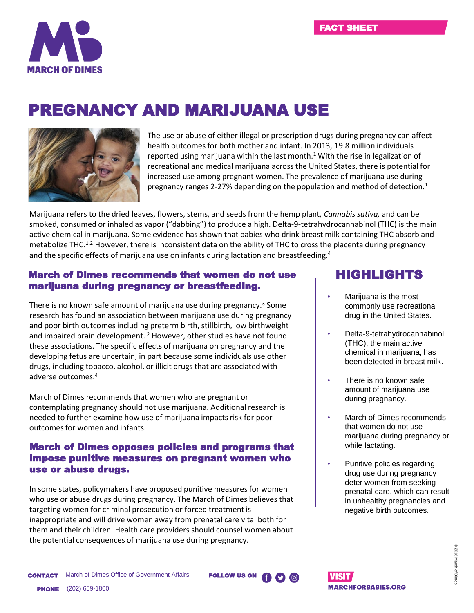

## PREGNANCY AND MARIJUANA USE



The use or abuse of either illegal or prescription drugs during pregnancy can affect health outcomes for both mother and infant. In 2013, 19.8 million individuals reported using marijuana within the last month.<sup>1</sup> With the rise in legalization of recreational and medical marijuana across the United States, there is potential for increased use among pregnant women. The prevalence of marijuana use during pregnancy ranges 2-27% depending on the population and method of detection.<sup>1</sup>

Marijuana refers to the dried leaves, flowers, stems, and seeds from the hemp plant, *Cannabis sativa,* and can be smoked, consumed or inhaled as vapor ("dabbing") to produce a high. Delta-9-tetrahydrocannabinol (THC) is the main active chemical in marijuana. Some evidence has shown that babies who drink breast milk containing THC absorb and metabolize THC.<sup>1,2</sup> However, there is inconsistent data on the ability of THC to cross the placenta during pregnancy and the specific effects of marijuana use on infants during lactation and breastfeeding.<sup>4</sup>

## March of Dimes recommends that women do not use marijuana during pregnancy or breastfeeding.

There is no known safe amount of marijuana use during pregnancy.<sup>3</sup> Some research has found an association between marijuana use during pregnancy and poor birth outcomes including preterm birth, stillbirth, low birthweight and impaired brain development. <sup>2</sup> However, other studies have not found these associations. The specific effects of marijuana on pregnancy and the developing fetus are uncertain, in part because some individuals use other drugs, including tobacco, alcohol, or illicit drugs that are associated with adverse outcomes.<sup>4</sup>

March of Dimes recommends that women who are pregnant or contemplating pregnancy should not use marijuana. Additional research is needed to further examine how use of marijuana impacts risk for poor outcomes for women and infants.

## March of Dimes opposes policies and programs that impose punitive measures on pregnant women who use or abuse drugs.

In some states, policymakers have proposed punitive measures for women who use or abuse drugs during pregnancy. The March of Dimes believes that targeting women for criminal prosecution or forced treatment is inappropriate and will drive women away from prenatal care vital both for them and their children. Health care providers should counsel women about the potential consequences of marijuana use during pregnancy.

## HIGHLIGHTS

- Marijuana is the most commonly use recreational drug in the United States.
- Delta-9-tetrahydrocannabinol (THC), the main active chemical in marijuana, has been detected in breast milk.
- There is no known safe amount of marijuana use during pregnancy.
- March of Dimes recommends that women do not use marijuana during pregnancy or while lactating.
- Punitive policies regarding drug use during pregnancy deter women from seeking prenatal care, which can result in unhealthy pregnancies and negative birth outcomes.

**CONTACT** March of Dimes Office of Government Affairs **FOLLOW US ON** PHONE (202) 659-1800